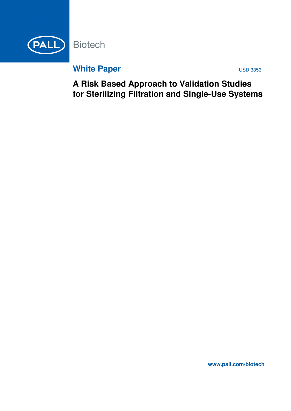

**White Paper USD 3353** 

**A Risk Based Approach to Validation Studies for Sterilizing Filtration and Single-Use Systems**

**www.pall.com/biotech**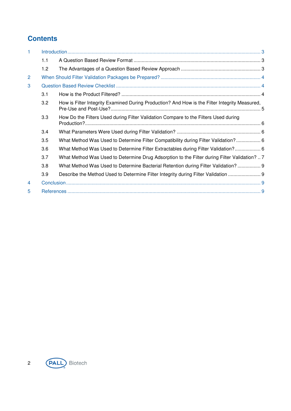# **Contents**

| $\overline{1}$ |     |                                                                                               |  |
|----------------|-----|-----------------------------------------------------------------------------------------------|--|
|                | 1.1 |                                                                                               |  |
|                | 1.2 |                                                                                               |  |
| 2              |     |                                                                                               |  |
| 3              |     |                                                                                               |  |
|                | 3.1 |                                                                                               |  |
|                | 3.2 | How is Filter Integrity Examined During Production? And How is the Filter Integrity Measured, |  |
|                | 3.3 | How Do the Filters Used during Filter Validation Compare to the Filters Used during           |  |
|                | 3.4 |                                                                                               |  |
|                | 3.5 | What Method Was Used to Determine Filter Compatibility during Filter Validation? 6            |  |
|                | 3.6 | What Method Was Used to Determine Filter Extractables during Filter Validation? 6             |  |
|                | 3.7 | What Method Was Used to Determine Drug Adsorption to the Filter during Filter Validation?  7  |  |
|                | 3.8 | What Method Was Used to Determine Bacterial Retention during Filter Validation? 9             |  |
|                | 3.9 | Describe the Method Used to Determine Filter Integrity during Filter Validation               |  |
| 4              |     |                                                                                               |  |
| 5              |     |                                                                                               |  |

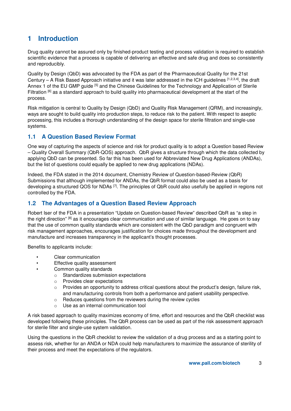# **1 Introduction**

Drug quality cannot be assured only by finished-product testing and process validation is required to establish scientific evidence that a process is capable of delivering an effective and safe drug and does so consistently and reproducibly.

Quality by Design (QbD) was advocated by the FDA as part of the Pharmaceutical Quality for the 21st Century – A Risk Based Approach initiative and it was later addressed in the ICH quidelines  $[1,2,3,4]$ , the draft Annex 1 of the EU GMP guide [5] and the Chinese Guidelines for the Technology and Application of Sterile Filtration [6] as a standard approach to build quality into pharmaceutical development at the start of the process.

Risk mitigation is central to Quality by Design (QbD) and Quality Risk Management (QRM), and increasingly, ways are sought to build quality into production steps, to reduce risk to the patient. With respect to aseptic processing, this includes a thorough understanding of the design space for sterile filtration and single-use systems.

### **1.1 A Question Based Review Format**

One way of capturing the aspects of science and risk for product quality is to adopt a Question based Review – Quality Overall Summary (QbR-QOS) approach. QbR gives a structure through which the data collected by applying QbD can be presented. So far this has been used for Abbreviated New Drug Applications (ANDAs), but the list of questions could equally be applied to new drug applications (NDAs).

Indeed, the FDA stated in the 2014 document, Chemistry Review of Question-based-Review (QbR) Submissions that although implemented for ANDAs, the QbR format could also be used as a basis for developing a structured QOS for NDAs [7]. The principles of QbR could also usefully be applied in regions not controlled by the FDA.

## **1.2 The Advantages of a Question Based Review Approach**

Robert Iser of the FDA in a presentation "Update on Question-based Review" described QbR as "a step in the right direction" [8] as it encourages clear communication and use of similar language. He goes on to say that the use of common quality standards which are consistent with the QbD paradigm and congruent with risk management approaches, encourages justification for choices made throughout the development and manufacture and increases transparency in the applicant's thought processes.

Benefits to applicants include:

- Clear communication
- Effective quality assessment
- Common quality standards
	- o Standardizes submission expectations
	- o Provides clear expectations
	- $\circ$  Provides an opportunity to address critical questions about the product's design, failure risk, and manufacturing controls from both a performance and patient usability perspective.
	- o Reduces questions from the reviewers during the review cycles
	- Use as an internal communication tool

A risk based approach to quality maximizes economy of time, effort and resources and the QbR checklist was developed following these principles. The QbR process can be used as part of the risk assessment approach for sterile filter and single-use system validation.

Using the questions in the QbR checklist to review the validation of a drug process and as a starting point to assess risk, whether for an ANDA or NDA could help manufacturers to maximize the assurance of sterility of their process and meet the expectations of the regulators.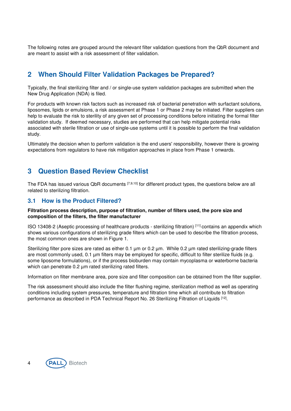The following notes are grouped around the relevant filter validation questions from the QbR document and are meant to assist with a risk assessment of filter validation.

# **2 When Should Filter Validation Packages be Prepared?**

Typically, the final sterilizing filter and / or single-use system validation packages are submitted when the New Drug Application (NDA) is filed.

For products with known risk factors such as increased risk of bacterial penetration with surfactant solutions, liposomes, lipids or emulsions, a risk assessment at Phase 1 or Phase 2 may be initiated. Filter suppliers can help to evaluate the risk to sterility of any given set of processing conditions before initiating the formal filter validation study. If deemed necessary, studies are performed that can help mitigate potential risks associated with sterile filtration or use of single-use systems until it is possible to perform the final validation study.

Ultimately the decision when to perform validation is the end users' responsibility, however there is growing expectations from regulators to have risk mitigation approaches in place from Phase 1 onwards.

## **3 Question Based Review Checklist**

The FDA has issued various QbR documents [7,9,10] for different product types, the questions below are all related to sterilizing filtration.

### **3.1 How is the Product Filtered?**

#### **Filtration process description, purpose of filtration, number of filters used, the pore size and composition of the filters, the filter manufacturer**

ISO 13408-2 (Aseptic processing of healthcare products - sterilizing filtration) [11] contains an appendix which shows various configurations of sterilizing grade filters which can be used to describe the filtration process, the most common ones are shown in Figure 1.

Sterilizing filter pore sizes are rated as either 0.1 um or 0.2 um. While 0.2 um rated sterilizing-grade filters are most commonly used, 0.1 µm filters may be employed for specific, difficult to filter sterilize fluids (e.g. some liposome formulations), or if the process bioburden may contain mycoplasma or waterborne bacteria which can penetrate 0.2  $\mu$ m rated sterilizing rated filters.

Information on filter membrane area, pore size and filter composition can be obtained from the filter supplier.

The risk assessment should also include the filter flushing regime, sterilization method as well as operating conditions including system pressures, temperature and filtration time which all contribute to filtration performance as described in PDA Technical Report No. 26 Sterilizing Filtration of Liquids [12].

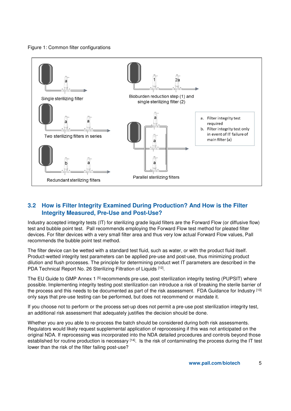#### Figure 1: Common filter configurations



### **3.2 How is Filter Integrity Examined During Production? And How is the Filter Integrity Measured, Pre-Use and Post-Use?**

Industry accepted integrity tests (IT) for sterilizing grade liquid filters are the Forward Flow (or diffusive flow) test and bubble point test. Pall recommends employing the Forward Flow test method for pleated filter devices. For filter devices with a very small filter area and thus very low actual Forward Flow values, Pall recommends the bubble point test method.

The filter device can be wetted with a standard test fluid, such as water, or with the product fluid itself. Product-wetted integrity test parameters can be applied pre-use and post-use, thus minimizing product dilution and flush processes. The principle for determining product wet IT parameters are described in the PDA Technical Report No. 26 Sterilizing Filtration of Liquids [12].

The EU Guide to GMP Annex 1 [5] recommends pre-use, post sterilization integrity testing (PUPSIT) where possible. Implementing integrity testing post sterilization can introduce a risk of breaking the sterile barrier of the process and this needs to be documented as part of the risk assessment. FDA Guidance for Industry [13] only says that pre-use testing can be performed, but does not recommend or mandate it.

If you choose not to perform or the process set-up does not permit a pre-use post sterilization integrity test, an additional risk assessment that adequately justifies the decision should be done.

Whether you are you able to re-process the batch should be considered during both risk assessments. Regulators would likely request supplemental application of reprocessing if this was not anticipated on the original NDA. If reprocessing was incorporated into the NDA detailed procedures and controls beyond those established for routine production is necessary <sup>[14]</sup>. Is the risk of contaminating the process during the IT test lower than the risk of the filter failing post-use?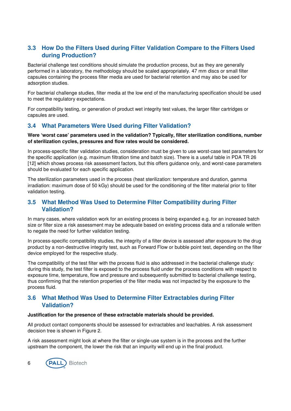## **3.3 How Do the Filters Used during Filter Validation Compare to the Filters Used during Production?**

Bacterial challenge test conditions should simulate the production process, but as they are generally performed in a laboratory, the methodology should be scaled appropriately. 47 mm discs or small filter capsules containing the process filter media are used for bacterial retention and may also be used for adsorption studies.

For bacterial challenge studies, filter media at the low end of the manufacturing specification should be used to meet the regulatory expectations.

For compatibility testing, or generation of product wet integrity test values, the larger filter cartridges or capsules are used.

## **3.4 What Parameters Were Used during Filter Validation?**

#### **Were 'worst case' parameters used in the validation? Typically, filter sterilization conditions, number of sterilization cycles, pressures and flow rates would be considered.**

In process-specific filter validation studies, consideration must be given to use worst-case test parameters for the specific application (e.g. maximum filtration time and batch size). There is a useful table in PDA TR 26 [12] which shows process risk assessment factors, but this offers guidance only, and worst-case parameters should be evaluated for each specific application.

The sterilization parameters used in the process (heat sterilization: temperature and duration, gamma irradiation: maximum dose of 50 kGy) should be used for the conditioning of the filter material prior to filter validation testing.

### **3.5 What Method Was Used to Determine Filter Compatibility during Filter Validation?**

In many cases, where validation work for an existing process is being expanded e.g. for an increased batch size or filter size a risk assessment may be adequate based on existing process data and a rationale written to negate the need for further validation testing.

In process-specific compatibility studies, the integrity of a filter device is assessed after exposure to the drug product by a non-destructive integrity test, such as Forward Flow or bubble point test, depending on the filter device employed for the respective study.

The compatibility of the test filter with the process fluid is also addressed in the bacterial challenge study: during this study, the test filter is exposed to the process fluid under the process conditions with respect to exposure time, temperature, flow and pressure and subsequently submitted to bacterial challenge testing, thus confirming that the retention properties of the filter media was not impacted by the exposure to the process fluid.

#### **3.6 What Method Was Used to Determine Filter Extractables during Filter Validation?**

#### **Justification for the presence of these extractable materials should be provided.**

All product contact components should be assessed for extractables and leachables. A risk assessment decision tree is shown in Figure 2.

A risk assessment might look at where the filter or single-use system is in the process and the further upstream the component, the lower the risk that an impurity will end up in the final product.

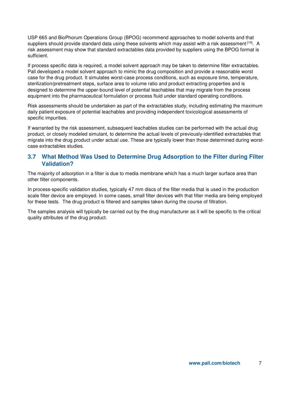USP 665 and BioPhorum Operations Group (BPOG) recommend approaches to model solvents and that suppliers should provide standard data using these solvents which may assist with a risk assessment [15]. A risk assessment may show that standard extractables data provided by suppliers using the BPOG format is sufficient.

If process specific data is required, a model solvent approach may be taken to determine filter extractables. Pall developed a model solvent approach to mimic the drug composition and provide a reasonable worst case for the drug product. It simulates worst-case process conditions, such as exposure time, temperature, sterilization/pretreatment steps, surface area to volume ratio and product extracting properties and is designed to determine the upper-bound level of potential leachables that may migrate from the process equipment into the pharmaceutical formulation or process fluid under standard operating conditions.

Risk assessments should be undertaken as part of the extractables study, including estimating the maximum daily patient exposure of potential leachables and providing independent toxicological assessments of specific impurities.

If warranted by the risk assessment, subsequent leachables studies can be performed with the actual drug product, or closely modeled simulant, to determine the actual levels of previously-identified extractables that migrate into the drug product under actual use. These are typically lower than those determined during worstcase extractables studies.

#### **3.7 What Method Was Used to Determine Drug Adsorption to the Filter during Filter Validation?**

The majority of adsorption in a filter is due to media membrane which has a much larger surface area than other filter components.

In process-specific validation studies, typically 47 mm discs of the filter media that is used in the production scale filter device are employed. In some cases, small filter devices with that filter media are being employed for these tests. The drug product is filtered and samples taken during the course of filtration.

The samples analysis will typically be carried out by the drug manufacturer as it will be specific to the critical quality attributes of the drug product.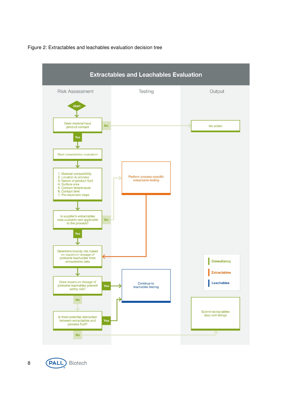



(PALL) Biotech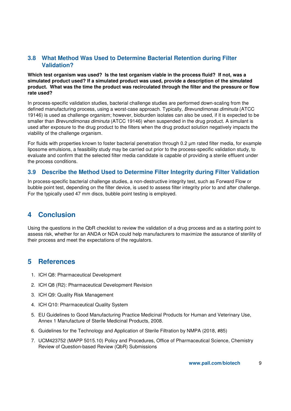### **3.8 What Method Was Used to Determine Bacterial Retention during Filter Validation?**

**Which test organism was used? Is the test organism viable in the process fluid? If not, was a simulated product used? If a simulated product was used, provide a description of the simulated product. What was the time the product was recirculated through the filter and the pressure or flow rate used?** 

In process-specific validation studies, bacterial challenge studies are performed down-scaling from the defined manufacturing process, using a worst-case approach. Typically, Brevundimonas diminuta (ATCC 19146) is used as challenge organism; however, bioburden isolates can also be used, if it is expected to be smaller than Brevundimonas diminuta (ATCC 19146) when suspended in the drug product. A simulant is used after exposure to the drug product to the filters when the drug product solution negatively impacts the viability of the challenge organism.

For fluids with properties known to foster bacterial penetration through 0.2 µm rated filter media, for example liposome emulsions, a feasibility study may be carried out prior to the process-specific validation study, to evaluate and confirm that the selected filter media candidate is capable of providing a sterile effluent under the process conditions.

#### **3.9 Describe the Method Used to Determine Filter Integrity during Filter Validation**

In process-specific bacterial challenge studies, a non-destructive integrity test, such as Forward Flow or bubble point test, depending on the filter device, is used to assess filter integrity prior to and after challenge. For the typically used 47 mm discs, bubble point testing is employed.

# **4 Conclusion**

Using the questions in the QbR checklist to review the validation of a drug process and as a starting point to assess risk, whether for an ANDA or NDA could help manufacturers to maximize the assurance of sterility of their process and meet the expectations of the regulators.

## **5 References**

- 1. ICH Q8: Pharmaceutical Development
- 2. ICH Q8 (R2): Pharmaceutical Development Revision
- 3. ICH Q9: Quality Risk Management
- 4. ICH Q10: Pharmaceutical Quality System
- 5. EU Guidelines to Good Manufacturing Practice Medicinal Products for Human and Veterinary Use, Annex 1 Manufacture of Sterile Medicinal Products, 2008.
- 6. Guidelines for the Technology and Application of Sterile Filtration by NMPA (2018, #85)
- 7. UCM423752 (MAPP 5015.10) Policy and Procedures, Office of Pharmaceutical Science, Chemistry Review of Question-based Review (QbR) Submissions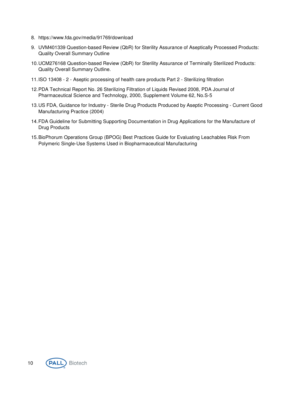- 8. https://www.fda.gov/media/91769/download
- 9. UVM401339 Question-based Review (QbR) for Sterility Assurance of Aseptically Processed Products: Quality Overall Summary Outline
- 10. UCM276168 Question-based Review (QbR) for Sterility Assurance of Terminally Sterilized Products: Quality Overall Summary Outline.
- 11. ISO 13408 2 Aseptic processing of health care products Part 2 Sterilizing filtration
- 12. PDA Technical Report No. 26 Sterilizing Filtration of Liquids Revised 2008, PDA Journal of Pharmaceutical Science and Technology, 2000, Supplement Volume 62, No.S-5
- 13. US FDA, Guidance for Industry Sterile Drug Products Produced by Aseptic Processing Current Good Manufacturing Practice (2004)
- 14. FDA Guideline for Submitting Supporting Documentation in Drug Applications for the Manufacture of Drug Products
- 15. BioPhorum Operations Group (BPOG) Best Practices Guide for Evaluating Leachables Risk From Polymeric Single-Use Systems Used in Biopharmaceutical Manufacturing